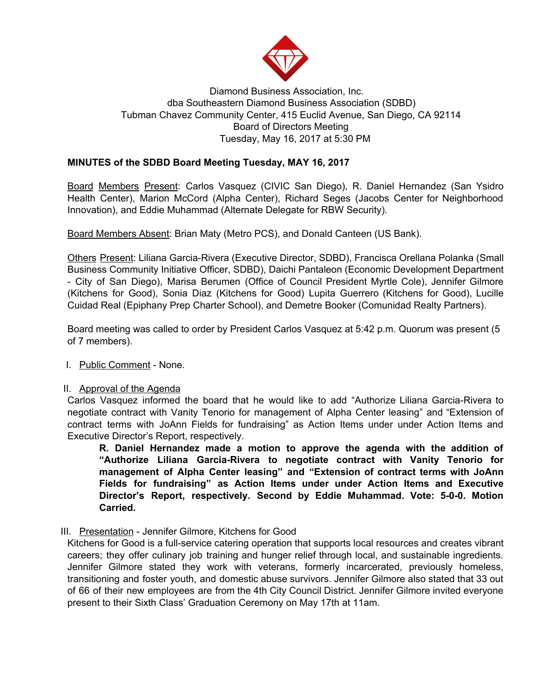

# Diamond Business Association, Inc. dba Southeastern Diamond Business Association (SDBD) Tubman Chavez Community Center, 415 Euclid Avenue, San Diego, CA 92114 Board of Directors Meeting Tuesday, May 16, 2017 at 5:30 PM

## **MINUTES of the SDBD Board Meeting Tuesday, MAY 16, 2017**

Board Members Present: Carlos Vasquez (CIVIC San Diego), R. Daniel Hernandez (San Ysidro Health Center), Marion McCord (Alpha Center), Richard Seges (Jacobs Center for Neighborhood Innovation), and Eddie Muhammad (Alternate Delegate for RBW Security).

Board Members Absent: Brian Maty (Metro PCS), and Donald Canteen (US Bank).

Others Present: Liliana Garcia-Rivera (Executive Director, SDBD), Francisca Orellana Polanka (Small Business Community Initiative Officer, SDBD), Daichi Pantaleon (Economic Development Department - City of San Diego), Marisa Berumen (Office of Council President Myrtle Cole), Jennifer Gilmore (Kitchens for Good), Sonia Diaz (Kitchens for Good) Lupita Guerrero (Kitchens for Good), Lucille Cuidad Real (Epiphany Prep Charter School), and Demetre Booker (Comunidad Realty Partners).

Board meeting was called to order by President Carlos Vasquez at 5:42 p.m. Quorum was present (5 of 7 members).

I. Public Comment - None.

#### II. Approval of the Agenda

Carlos Vasquez informed the board that he would like to add "Authorize Liliana Garcia-Rivera to negotiate contract with Vanity Tenorio for management of Alpha Center leasing" and "Extension of contract terms with JoAnn Fields for fundraising" as Action Items under under Action Items and Executive Director's Report, respectively.

**R. Daniel Hernandez made a motion to approve the agenda with the addition of "Authorize Liliana Garcia-Rivera to negotiate contract with Vanity Tenorio for management of Alpha Center leasing" and "Extension of contract terms with JoAnn Fields for fundraising" as Action Items under under Action Items and Executive Director's Report, respectively. Second by Eddie Muhammad. Vote: 5-0-0. Motion Carried.**

III. Presentation - Jennifer Gilmore, Kitchens for Good

Kitchens for Good is a full-service catering operation that supports local resources and creates vibrant careers; they offer culinary job training and hunger relief through local, and sustainable ingredients. Jennifer Gilmore stated they work with veterans, formerly incarcerated, previously homeless, transitioning and foster youth, and domestic abuse survivors. Jennifer Gilmore also stated that 33 out of 66 of their new employees are from the 4th City Council District. Jennifer Gilmore invited everyone present to their Sixth Class' Graduation Ceremony on May 17th at 11am.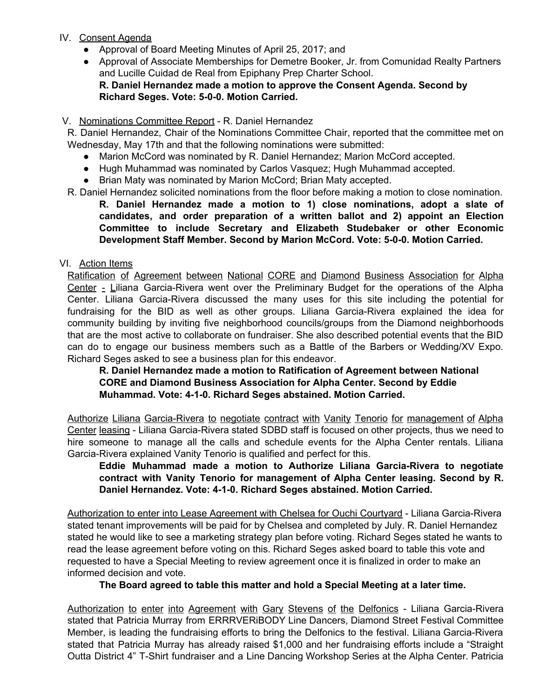- IV. Consent Agenda
	- Approval of Board Meeting Minutes of April 25, 2017; and
	- Approval of Associate Memberships for Demetre Booker, Jr. from Comunidad Realty Partners and Lucille Cuidad de Real from Epiphany Prep Charter School. **R. Daniel Hernandez made a motion to approve the Consent Agenda. Second by Richard Seges. Vote: 5-0-0. Motion Carried.**

## V. Nominations Committee Report - R. Daniel Hernandez

R. Daniel Hernandez, Chair of the Nominations Committee Chair, reported that the committee met on Wednesday, May 17th and that the following nominations were submitted:

- Marion McCord was nominated by R. Daniel Hernandez; Marion McCord accepted.
- Hugh Muhammad was nominated by Carlos Vasquez; Hugh Muhammad accepted.
- Brian Maty was nominated by Marion McCord; Brian Maty accepted.

R. Daniel Hernandez solicited nominations from the floor before making a motion to close nomination.

**R. Daniel Hernandez made a motion to 1) close nominations, adopt a slate of candidates, and order preparation of a written ballot and 2) appoint an Election Committee to include Secretary and Elizabeth Studebaker or other Economic Development Staff Member. Second by Marion McCord. Vote: 5-0-0. Motion Carried.**

## VI. Action Items

Ratification of Agreement between National CORE and Diamond Business Association for Alpha Center - Liliana Garcia-Rivera went over the Preliminary Budget for the operations of the Alpha Center. Liliana Garcia-Rivera discussed the many uses for this site including the potential for fundraising for the BID as well as other groups. Liliana Garcia-Rivera explained the idea for community building by inviting five neighborhood councils/groups from the Diamond neighborhoods that are the most active to collaborate on fundraiser. She also described potential events that the BID can do to engage our business members such as a Battle of the Barbers or Wedding/XV Expo. Richard Seges asked to see a business plan for this endeavor.

**R. Daniel Hernandez made a motion to Ratification of Agreement between National CORE and Diamond Business Association for Alpha Center. Second by Eddie Muhammad. Vote: 4-1-0. Richard Seges abstained. Motion Carried.**

Authorize Liliana Garcia-Rivera to negotiate contract with Vanity Tenorio for management of Alpha Center leasing - Liliana Garcia-Rivera stated SDBD staff is focused on other projects, thus we need to hire someone to manage all the calls and schedule events for the Alpha Center rentals. Liliana Garcia-Rivera explained Vanity Tenorio is qualified and perfect for this.

**Eddie Muhammad made a motion to Authorize Liliana Garcia-Rivera to negotiate contract with Vanity Tenorio for management of Alpha Center leasing. Second by R. Daniel Hernandez. Vote: 4-1-0. Richard Seges abstained. Motion Carried.**

Authorization to enter into Lease Agreement with Chelsea for Ouchi Courtyard - Liliana Garcia-Rivera stated tenant improvements will be paid for by Chelsea and completed by July. R. Daniel Hernandez stated he would like to see a marketing strategy plan before voting. Richard Seges stated he wants to read the lease agreement before voting on this. Richard Seges asked board to table this vote and requested to have a Special Meeting to review agreement once it is finalized in order to make an informed decision and vote.

**The Board agreed to table this matter and hold a Special Meeting at a later time.**

Authorization to enter into Agreement with Gary Stevens of the Delfonics - Liliana Garcia-Rivera stated that Patricia Murray from ERRRVERiBODY Line Dancers, Diamond Street Festival Committee Member, is leading the fundraising efforts to bring the Delfonics to the festival. Liliana Garcia-Rivera stated that Patricia Murray has already raised \$1,000 and her fundraising efforts include a "Straight Outta District 4" T-Shirt fundraiser and a Line Dancing Workshop Series at the Alpha Center. Patricia